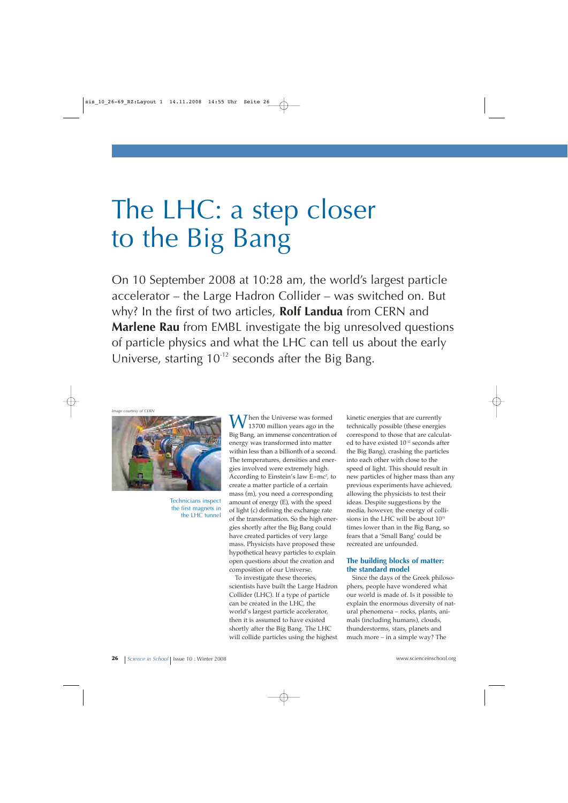# The LHC: a step closer to the Big Bang

On 10 September 2008 at 10:28 am, the world's largest particle accelerator – the Large Hadron Collider – was switched on. But why? In the first of two articles, **Rolf Landua** from CERN and **Marlene Rau** from EMBL investigate the big unresolved questions of particle physics and what the LHC can tell us about the early Universe, starting  $10^{-12}$  seconds after the Big Bang.

*Image courtesy of CERN*



Technicians inspect the first magnets in the LHC tunnel

 $\overline{I}$  hen the Universe was formed 13700 million years ago in the Big Bang, an immense concentration of energy was transformed into matter within less than a billionth of a second. The temperatures, densities and energies involved were extremely high. According to Einstein's law E=mc<del>'</del>, to create a matter particle of a certain mass (m), you need a corresponding amount of energy (E), with the speed of light (c) defining the exchange rate of the transformation. So the high energies shortly after the Big Bang could have created particles of very large mass. Physicists have proposed these hypothetical heavy particles to explain open questions about the creation and composition of our Universe.

To investigate these theories, scientists have built the Large Hadron Collider (LHC). If a type of particle can be created in the LHC, the world's largest particle accelerator, then it is assumed to have existed shortly after the Big Bang. The LHC will collide particles using the highest

kinetic energies that are currently technically possible (these energies correspond to those that are calculated to have existed 10-12 seconds after the Big Bang), crashing the particles into each other with close to the speed of light. This should result in new particles of higher mass than any previous experiments have achieved, allowing the physicists to test their ideas. Despite suggestions by the media, however, the energy of collisions in the LHC will be about 1075 times lower than in the Big Bang, so fears that a 'Small Bang' could be recreated are unfounded.

#### **The building blocks of matter: the standard model**

Since the days of the Greek philosophers, people have wondered what our world is made of. Is it possible to explain the enormous diversity of natural phenomena – rocks, plants, animals (including humans), clouds, thunderstorms, stars, planets and much more – in a simple way? The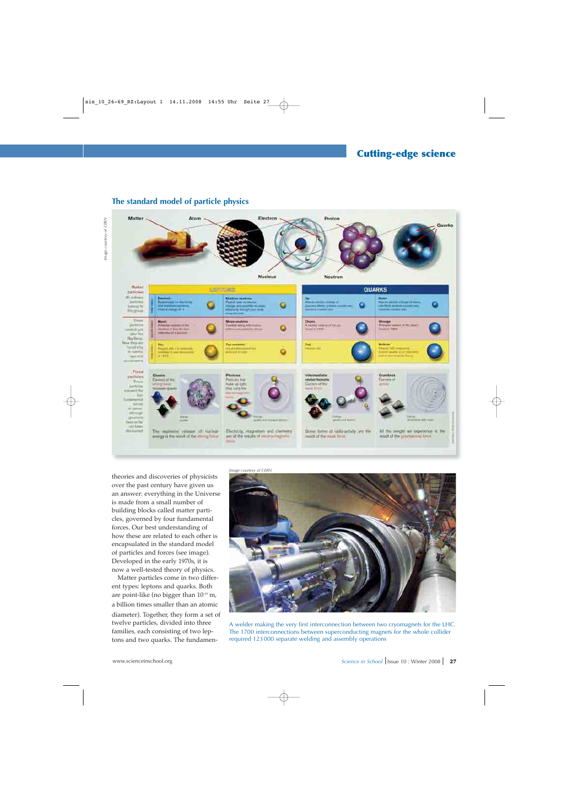

### **The standard model of particle physics**



theories and discoveries of physicists over the past century have given us an answer: everything in the Universe is made from a small number of building blocks called matter particles, governed by four fundamental forces. Our best understanding of how these are related to each other is encapsulated in the standard model of particles and forces (see image). Developed in the early 1970s, it is now a well-tested theory of physics.

Matter particles come in two different types: leptons and quarks. Both are point-like (no bigger than 10-19 m, a billion times smaller than an atomic diameter). Together, they form a set of twelve particles, divided into three families, each consisting of two leptons and two quarks. The fundamen*Image courtesy of CERN*



A welder making the very first interconnection between two cryomagnets for the LHC. The 1700 interconnections between superconducting magnets for the whole collider required 123000 separate welding and assembly operations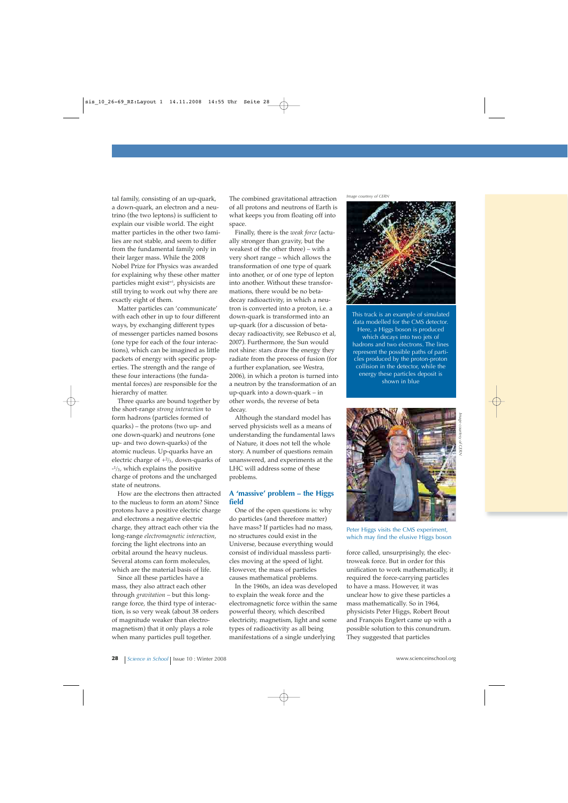tal family, consisting of an up-quark, a down-quark, an electron and a neutrino (the two leptons) is sufficient to explain our visible world. The eight matter particles in the other two families are not stable, and seem to differ from the fundamental family only in their larger mass. While the 2008 Nobel Prize for Physics was awarded for explaining why these other matter particles might exist<sup>w1</sup>, physicists are still trying to work out why there are exactly eight of them.

Matter particles can 'communicate' with each other in up to four different ways, by exchanging different types of messenger particles named bosons (one type for each of the four interactions), which can be imagined as little packets of energy with specific properties. The strength and the range of these four interactions (the fundamental forces) are responsible for the hierarchy of matter.

Three quarks are bound together by the short-range *strong interaction* to form hadrons (particles formed of quarks) – the protons (two up- and one down-quark) and neutrons (one up- and two down-quarks) of the atomic nucleus. Up-quarks have an electric charge of +2 /3, down-quarks of -1 /3, which explains the positive charge of protons and the uncharged state of neutrons.

How are the electrons then attracted to the nucleus to form an atom? Since protons have a positive electric charge and electrons a negative electric charge, they attract each other via the long-range *electromagnetic interaction*, forcing the light electrons into an orbital around the heavy nucleus. Several atoms can form molecules, which are the material basis of life.

Since all these particles have a mass, they also attract each other through *gravitation* – but this longrange force, the third type of interaction, is so very weak (about 38 orders of magnitude weaker than electromagnetism) that it only plays a role when many particles pull together.

The combined gravitational attraction of all protons and neutrons of Earth is what keeps you from floating off into space.

Finally, there is the *weak force* (actually stronger than gravity, but the weakest of the other three) – with a very short range – which allows the transformation of one type of quark into another, or of one type of lepton into another. Without these transformations, there would be no betadecay radioactivity, in which a neutron is converted into a proton, i.e. a down-quark is transformed into an up-quark (for a discussion of betadecay radioactivity, see Rebusco et al, 2007). Furthermore, the Sun would not shine: stars draw the energy they radiate from the process of fusion (for a further explanation, see Westra, 2006), in which a proton is turned into a neutron by the transformation of an up-quark into a down-quark – in other words, the reverse of beta decay.

Although the standard model has served physicists well as a means of understanding the fundamental laws of Nature, it does not tell the whole story. A number of questions remain unanswered, and experiments at the LHC will address some of these problems.

#### **A 'massive' problem – the Higgs field**

One of the open questions is: why do particles (and therefore matter) have mass? If particles had no mass, no structures could exist in the Universe, because everything would consist of individual massless particles moving at the speed of light. However, the mass of particles causes mathematical problems.

In the 1960s, an idea was developed to explain the weak force and the electromagnetic force within the same powerful theory, which described electricity, magnetism, light and some types of radioactivity as all being manifestations of a single underlying

*Image courtesy of CERN*



This track is an example of simulated data modelled for the CMS detector. Here, a Higgs boson is produced which decays into two jets of hadrons and two electrons. The lines represent the possible paths of particles produced by the proton-proton collision in the detector, while the energy these particles deposit is shown in blue



Peter Higgs visits the CMS experiment, which may find the elusive Higgs boson

force called, unsurprisingly, the electroweak force. But in order for this unification to work mathematically, it required the force-carrying particles to have a mass. However, it was unclear how to give these particles a mass mathematically. So in 1964, physicists Peter Higgs, Robert Brout and François Englert came up with a possible solution to this conundrum. They suggested that particles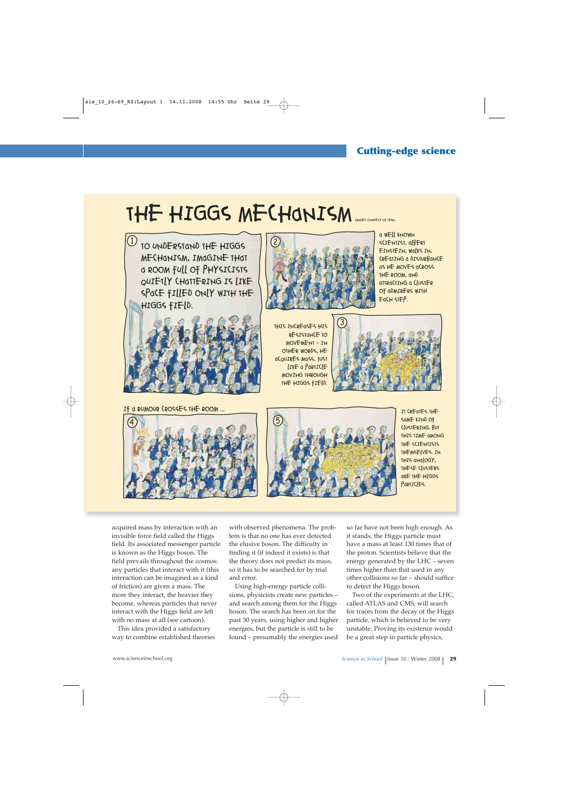## THE HIGGS MECHANISM



TO UNDERSTAND THE HIGGS

IF A RUMOUR CROSSES THE ROOM ...



A WELL KNOWN SCIENTIST, OLBERT EINSTEIN, WALKS IN, CREATING A DISTURBANCE as HE MOVES aCROSS THE ROOM, AND ATTRACTING A CLUSTER OF ADMIRERS WITH EACH STEP.

THIS INCREASES HIS RESISTANCE TO MOVEMENT – IN OTHER WORDS, HE ACQUIRES MASS, JUST LIKE a PARTICLE MOVING THROUGH THE HIGGS FIELD.







IT CREATES THE SAME KIND OF CLUSTERING, BUT THIS TIME AMONG THE SCIENTISTS THEMSELVES. IN THIS ANALOGY, THESE CLUSTERS ARE THE HIGGS PARTICLES.

acquired mass by interaction with an invisible force field called the Higgs field. Its associated messenger particle is known as the Higgs boson. The field prevails throughout the cosmos: any particles that interact with it (this interaction can be imagined as a kind of friction) are given a mass. The more they interact, the heavier they become, whereas particles that never interact with the Higgs field are left with no mass at all (see cartoon).

This idea provided a satisfactory way to combine established theories with observed phenomena. The problem is that no one has ever detected the elusive boson. The difficulty in finding it (if indeed it exists) is that the theory does not predict its mass, so it has to be searched for by trial and error.

Using high-energy particle collisions, physicists create new particles – and search among them for the Higgs boson. The search has been on for the past 30 years, using higher and higher energies, but the particle is still to be found – presumably the energies used

so far have not been high enough. As it stands, the Higgs particle must have a mass at least 130 times that of the proton. Scientists believe that the energy generated by the LHC – seven times higher than that used in any other collisions so far – should suffice to detect the Higgs boson.

Two of the experiments at the LHC, called ATLAS and CMS, will search for traces from the decay of the Higgs particle, which is believed to be very unstable. Proving its existence would be a great step in particle physics,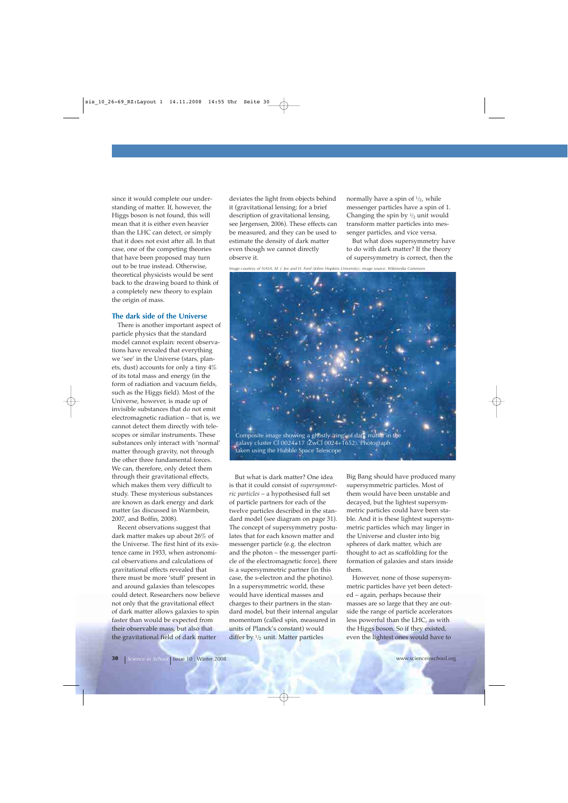since it would complete our understanding of matter. If, however, the Higgs boson is not found, this will mean that it is either even heavier than the LHC can detect, or simply that it does not exist after all. In that case, one of the competing theories that have been proposed may turn out to be true instead. Otherwise, theoretical physicists would be sent back to the drawing board to think of a completely new theory to explain the origin of mass.

#### **The dark side of the Universe**

There is another important aspect of particle physics that the standard model cannot explain: recent observations have revealed that everything we 'see' in the Universe (stars, planets, dust) accounts for only a tiny 4% of its total mass and energy (in the form of radiation and vacuum fields, such as the Higgs field). Most of the Universe, however, is made up of invisible substances that do not emit electromagnetic radiation – that is, we cannot detect them directly with telescopes or similar instruments. These substances only interact with 'normal' matter through gravity, not through the other three fundamental forces. We can, therefore, only detect them through their gravitational effects, which makes them very difficult to study. These mysterious substances are known as dark energy and dark matter (as discussed in Warmbein, 2007, and Boffin, 2008).

Recent observations suggest that dark matter makes up about 26% of the Universe. The first hint of its existence came in 1933, when astronomical observations and calculations of gravitational effects revealed that there must be more 'stuff' present in and around galaxies than telescopes could detect. Researchers now believe not only that the gravitational effect of dark matter allows galaxies to spin faster than would be expected from their observable mass, but also that the gravitational field of dark matter

deviates the light from objects behind it (gravitational lensing; for a brief description of gravitational lensing, see Jørgensen, 2006). These effects can be measured, and they can be used to estimate the density of dark matter even though we cannot directly observe it.

normally have a spin of  $\frac{1}{2}$ , while messenger particles have a spin of 1. Changing the spin by  $\frac{1}{2}$  unit would transform matter particles into messenger particles, and vice versa.

But what does supersymmetry have to do with dark matter? If the theory of supersymmetry is correct, then the

*Image courtesy of NASA, M. J. Jee and H. Ford (Johns Hopkins University); image source: Wikimedia Commons*



galaxy cluster Cl 0024+17 (ZwCl 0024+1652). Photograph taken using the Hubble Space Telescope

But what is dark matter? One idea is that it could consist of *supersymmetric particles* – a hypothesised full set of particle partners for each of the twelve particles described in the standard model (see diagram on page 31). The concept of supersymmetry postulates that for each known matter and messenger particle (e.g. the electron and the photon – the messenger particle of the electromagnetic force), there is a supersymmetric partner (in this case, the s-electron and the photino). In a supersymmetric world, these would have identical masses and charges to their partners in the standard model, but their internal angular momentum (called spin, measured in units of Planck's constant) would differ by  $\frac{1}{2}$  unit. Matter particles

Big Bang should have produced many supersymmetric particles. Most of them would have been unstable and decayed, but the lightest supersymmetric particles could have been stable. And it is these lightest supersymmetric particles which may linger in the Universe and cluster into big spheres of dark matter, which are thought to act as scaffolding for the formation of galaxies and stars inside them.

However, none of those supersymmetric particles have yet been detected – again, perhaps because their masses are so large that they are outside the range of particle accelerators less powerful than the LHC, as with the Higgs boson. So if they existed, even the lightest ones would have to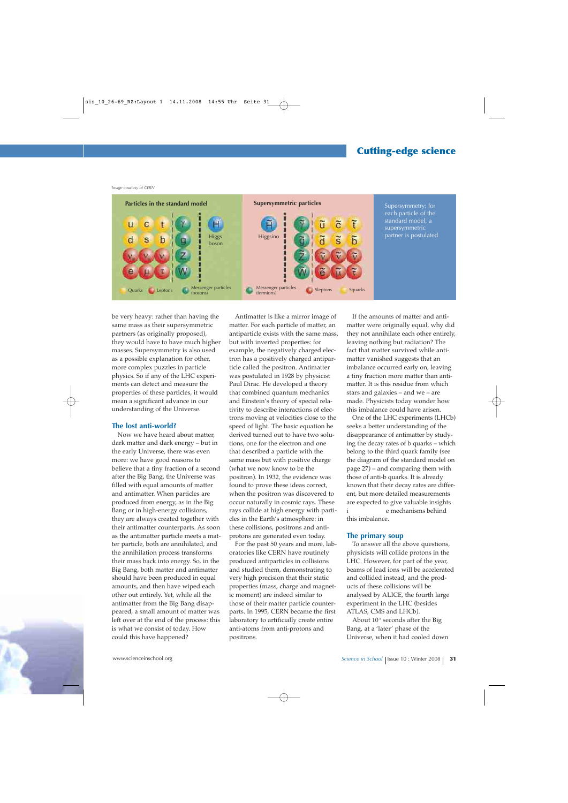## **Cutting-edge science**

*Image courtesy of CERN*



be very heavy: rather than having the same mass as their supersymmetric partners (as originally proposed), they would have to have much higher masses. Supersymmetry is also used as a possible explanation for other, more complex puzzles in particle physics. So if any of the LHC experiments can detect and measure the properties of these particles, it would mean a significant advance in our understanding of the Universe.

#### **The lost anti-world?**

Now we have heard about matter, dark matter and dark energy – but in the early Universe, there was even more: we have good reasons to believe that a tiny fraction of a second after the Big Bang, the Universe was filled with equal amounts of matter and antimatter. When particles are produced from energy, as in the Big Bang or in high-energy collisions, they are always created together with their antimatter counterparts. As soon as the antimatter particle meets a matter particle, both are annihilated, and the annihilation process transforms their mass back into energy. So, in the Big Bang, both matter and antimatter should have been produced in equal amounts, and then have wiped each other out entirely. Yet, while all the antimatter from the Big Bang disappeared, a small amount of matter was left over at the end of the process: this is what we consist of today. How could this have happened? Bang or in high-energy collisions, have rays collide at high energy with parti-havish are chanisms behind

Antimatter is like a mirror image of matter. For each particle of matter, an antiparticle exists with the same mass, but with inverted properties: for example, the negatively charged electron has a positively charged antiparticle called the positron. Antimatter was postulated in 1928 by physicist Paul Dirac. He developed a theory that combined quantum mechanics and Einstein's theory of special relativity to describe interactions of electrons moving at velocities close to the speed of light. The basic equation he derived turned out to have two solutions, one for the electron and one that described a particle with the same mass but with positive charge (what we now know to be the positron). In 1932, the evidence was found to prove these ideas correct, when the positron was discovered to occur naturally in cosmic rays. These rays collide at high energy with particles in the Earth's atmosphere: in these collisions, positrons and antiprotons are generated even today.

For the past 50 years and more, laboratories like CERN have routinely produced antiparticles in collisions and studied them, demonstrating to very high precision that their static properties (mass, charge and magnetic moment) are indeed similar to those of their matter particle counterparts. In 1995, CERN became the first laboratory to artificially create entire anti-atoms from anti-protons and positrons.

If the amounts of matter and antimatter were originally equal, why did they not annihilate each other entirely, leaving nothing but radiation? The fact that matter survived while antimatter vanished suggests that an imbalance occurred early on, leaving a tiny fraction more matter than antimatter. It is this residue from which stars and galaxies – and we – are made. Physicists today wonder how this imbalance could have arisen.

One of the LHC experiments (LHCb) seeks a better understanding of the disappearance of antimatter by studying the decay rates of b quarks – which belong to the third quark family (see the diagram of the standard model on page 27) – and comparing them with those of anti-b quarks. It is already known that their decay rates are different, but more detailed measurements are expected to give valuable insights this imbalance.

#### **The primary soup**

To answer all the above questions, physicists will collide protons in the LHC. However, for part of the year, beams of lead ions will be accelerated and collided instead, and the products of these collisions will be analysed by ALICE, the fourth large experiment in the LHC (besides ATLAS, CMS and LHCb).

About 10-5 seconds after the Big Bang, at a 'later' phase of the Universe, when it had cooled down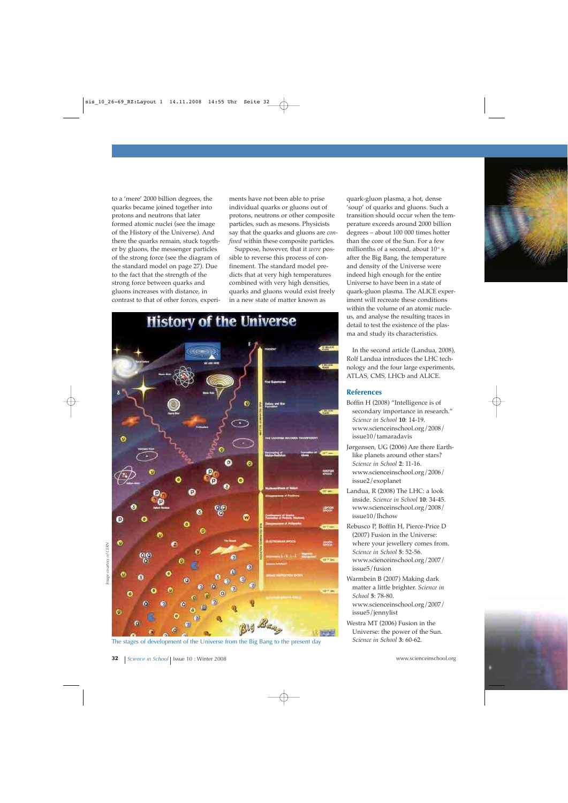to a 'mere' 2000 billion degrees, the quarks became joined together into protons and neutrons that later formed atomic nuclei (see the image of the History of the Universe). And there the quarks remain, stuck together by gluons, the messenger particles of the strong force (see the diagram of the standard model on page 27). Due to the fact that the strength of the strong force between quarks and gluons increases with distance, in contrast to that of other forces, experi-

ments have not been able to prise individual quarks or gluons out of protons, neutrons or other composite particles, such as mesons. Physicists say that the quarks and gluons are *confined* within these composite particles.

Suppose, however, that it *were* possible to reverse this process of confinement. The standard model predicts that at very high temperatures combined with very high densities, quarks and gluons would exist freely in a new state of matter known as



The stages of development of the Universe from the Big Bang to the present day

quark-gluon plasma, a hot, dense 'soup' of quarks and gluons. Such a transition should occur when the temperature exceeds around 2000 billion degrees – about 100 000 times hotter than the core of the Sun. For a few millionths of a second, about  $10<sup>-6</sup>$  s after the Big Bang, the temperature and density of the Universe were indeed high enough for the entire Universe to have been in a state of quark-gluon plasma. The ALICE experiment will recreate these conditions within the volume of an atomic nucleus, and analyse the resulting traces in detail to test the existence of the plasma and study its characteristics.

In the second article (Landua, 2008), Rolf Landua introduces the LHC technology and the four large experiments, ATLAS, CMS, LHCb and ALICE.

#### **References**

- Boffin H (2008) "Intelligence is of secondary importance in research." *Science in School* **10**: 14-19. www.scienceinschool.org/2008/ issue10/tamaradavis
- Jørgensen, UG (2006) Are there Earthlike planets around other stars? *Science in School* **2**: 11-16. www.scienceinschool.org/2006/ issue2/exoplanet
- Landua, R (2008) The LHC: a look inside. *Science in School* **10**: 34-45. www.scienceinschool.org/2008/ issue10/lhchow
- Rebusco P, Boffin H, Pierce-Price D (2007) Fusion in the Universe: where your jewellery comes from. *Science in School* **5**: 52-56. www.scienceinschool.org/2007/ issue5/fusion
- Warmbein B (2007) Making dark matter a little brighter. *Science in School* **5**: 78-80. www.scienceinschool.org/2007/
- issue5/jennylist
- Westra MT (2006) Fusion in the Universe: the power of the Sun. *Science in School* **3**: 60-62.